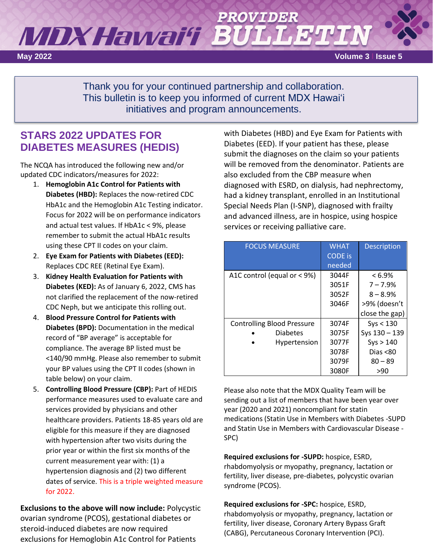# MDXHawai'i Bl

**May 2022 Volume 3 l Issue 5**

Thank you for your continued partnership and collaboration. This bulletin is to keep you informed of current MDX Hawaiʻi initiatives and program announcements.

# **STARS 2022 UPDATES FOR DIABETES MEASURES (HEDIS)**

The NCQA has introduced the following new and/or updated CDC indicators/measures for 2022:

- 1. **Hemoglobin A1c Control for Patients with Diabetes (HBD):** Replaces the now-retired CDC HbA1c and the Hemoglobin A1c Testing indicator. Focus for 2022 will be on performance indicators and actual test values. If HbA1c < 9%, please remember to submit the actual HbA1c results using these CPT II codes on your claim.
- 2. **Eye Exam for Patients with Diabetes (EED):** Replaces CDC REE (Retinal Eye Exam).
- 3. **Kidney Health Evaluation for Patients with Diabetes (KED):** As of January 6, 2022, CMS has not clarified the replacement of the now-retired CDC Neph, but we anticipate this rolling out.
- 4. **Blood Pressure Control for Patients with Diabetes (BPD):** Documentation in the medical record of "BP average" is acceptable for compliance. The average BP listed must be <140/90 mmHg. Please also remember to submit your BP values using the CPT II codes (shown in table below) on your claim.
- 5. **Controlling Blood Pressure (CBP):** Part of HEDIS performance measures used to evaluate care and services provided by physicians and other healthcare providers. Patients 18-85 years old are eligible for this measure if they are diagnosed with hypertension after two visits during the prior year or within the first six months of the current measurement year with: (1) a hypertension diagnosis and (2) two different dates of service. This is a triple weighted measure for 2022.

**Exclusions to the above will now include:** Polycystic ovarian syndrome (PCOS), gestational diabetes or steroid-induced diabetes are now required exclusions for Hemoglobin A1c Control for Patients

with Diabetes (HBD) and Eye Exam for Patients with Diabetes (EED). If your patient has these, please submit the diagnoses on the claim so your patients will be removed from the denominator. Patients are also excluded from the CBP measure when diagnosed with ESRD, on dialysis, had nephrectomy, had a kidney transplant, enrolled in an Institutional Special Needs Plan (I-SNP), diagnosed with frailty and advanced illness, are in hospice, using hospice services or receiving palliative care.

| <b>FOCUS MEASURE</b>              | <b>WHAT</b><br><b>CODE</b> is<br>needed | <b>Description</b> |
|-----------------------------------|-----------------------------------------|--------------------|
| A1C control (equal or $<$ 9%)     | 3044F                                   | $< 6.9\%$          |
|                                   | 3051F                                   | $7 - 7.9%$         |
|                                   | 3052F                                   | $8 - 8.9%$         |
|                                   | 3046F                                   | >9% (doesn't       |
|                                   |                                         | close the gap)     |
| <b>Controlling Blood Pressure</b> | 3074F                                   | Sys < 130          |
| <b>Diabetes</b>                   | 3075F                                   | Sys 130 - 139      |
| Hypertension                      | 3077F                                   | Sys > 140          |
|                                   | 3078F                                   | Dias $< 80$        |
|                                   | 3079F                                   | $80 - 89$          |
|                                   | 3080F                                   | >90                |

Please also note that the MDX Quality Team will be sending out a list of members that have been year over year (2020 and 2021) noncompliant for statin medications (Statin Use in Members with Diabetes -SUPD and Statin Use in Members with Cardiovascular Disease - SPC)

**Required exclusions for -SUPD:** hospice, ESRD, rhabdomyolysis or myopathy, pregnancy, lactation or fertility, liver disease, pre-diabetes, polycystic ovarian syndrome (PCOS).

**Required exclusions for -SPC:** hospice, ESRD, rhabdomyolysis or myopathy, pregnancy, lactation or fertility, liver disease, Coronary Artery Bypass Graft (CABG), Percutaneous Coronary Intervention (PCI).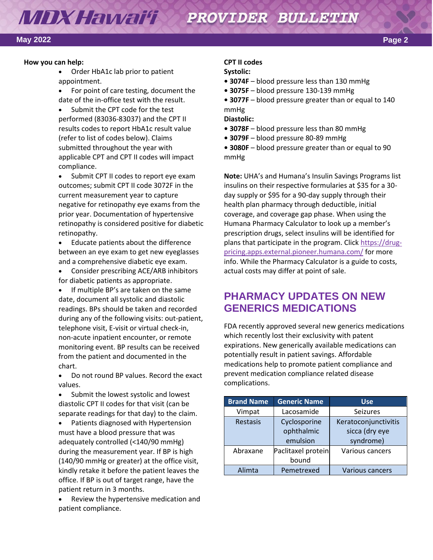### **MDX Hawai'i** PROVIDER BULLETIN

#### **May 2022 Page 2**

#### **How you can help:**

- Order HbA1c lab prior to patient appointment.
- For point of care testing, document the date of the in-office test with the result.
- Submit the CPT code for the test performed (83036-83037) and the CPT II results codes to report HbA1c result value (refer to list of codes below). Claims submitted throughout the year with applicable CPT and CPT II codes will impact compliance.
- Submit CPT II codes to report eye exam outcomes; submit CPT II code 3072F in the current measurement year to capture negative for retinopathy eye exams from the prior year. Documentation of hypertensive retinopathy is considered positive for diabetic retinopathy.
- Educate patients about the difference between an eye exam to get new eyeglasses and a comprehensive diabetic eye exam.
- Consider prescribing ACE/ARB inhibitors for diabetic patients as appropriate.
- If multiple BP's are taken on the same date, document all systolic and diastolic readings. BPs should be taken and recorded during any of the following visits: out-patient, telephone visit, E-visit or virtual check-in, non-acute inpatient encounter, or remote monitoring event. BP results can be received from the patient and documented in the chart.
- Do not round BP values. Record the exact values.
- Submit the lowest systolic and lowest diastolic CPT II codes for that visit (can be separate readings for that day) to the claim.
- Patients diagnosed with Hypertension must have a blood pressure that was adequately controlled (<140/90 mmHg) during the measurement year. If BP is high (140/90 mmHg or greater) at the office visit, kindly retake it before the patient leaves the office. If BP is out of target range, have the patient return in 3 months.
- Review the hypertensive medication and patient compliance.

#### **CPT II codes**

#### **Systolic:**

- **3074F** blood pressure less than 130 mmHg
- **3075F** blood pressure 130-139 mmHg
- **3077F** blood pressure greater than or equal to 140 mmHg

**Diastolic:**

- **3078F** blood pressure less than 80 mmHg
- **3079F** blood pressure 80-89 mmHg
- **3080F** blood pressure greater than or equal to 90 mmHg

**Note:** UHA's and Humana's Insulin Savings Programs list insulins on their respective formularies at \$35 for a 30 day supply or \$95 for a 90-day supply through their health plan pharmacy through deductible, initial coverage, and coverage gap phase. When using the Humana Pharmacy Calculator to look up a member's prescription drugs, select insulins will be identified for plans that participate in the program. Click [https://drug](https://drug-pricing.apps.external.pioneer.humana.com/)[pricing.apps.external.pioneer.humana.com/](https://drug-pricing.apps.external.pioneer.humana.com/) for more info. While the Pharmacy Calculator is a guide to costs, actual costs may differ at point of sale.

# **PHARMACY UPDATES ON NEW GENERICS MEDICATIONS**

FDA recently approved several new generics medications which recently lost their exclusivity with patent expirations. New generically available medications can potentially result in patient savings. Affordable medications help to promote patient compliance and prevent medication compliance related disease complications.  

| <b>Brand Name</b> | <b>Generic Name</b>                    | <b>Use</b>                                          |
|-------------------|----------------------------------------|-----------------------------------------------------|
| Vimpat            | Lacosamide                             | Seizures                                            |
| Restasis          | Cyclosporine<br>ophthalmic<br>emulsion | Keratoconjunctivitis<br>sicca (dry eye<br>syndrome) |
| Abraxane          | Paclitaxel protein<br>bound            | Various cancers                                     |
| Alimta            | Pemetrexed                             | Various cancers                                     |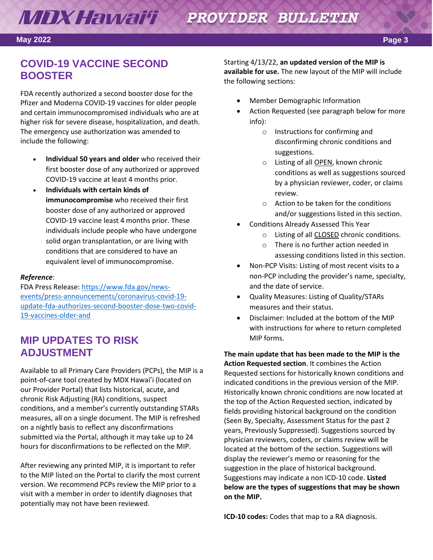# **MDX Hawai'i Sa** PROVIDER BULLETIN

#### **May 2022 Page 3**

# **COVID-19 VACCINE SECOND BOOSTER**

FDA recently authorized a second booster dose for the Pfizer and Moderna COVID-19 vaccines for older people and certain immunocompromised individuals who are at higher risk for severe disease, hospitalization, and death. The emergency use authorization was amended to include the following: 

- **Individual 50 years and older** who received their first booster dose of any authorized or approved COVID-19 vaccine at least 4 months prior.
- **Individuals with certain kinds of immunocompromise** who received their first booster dose of any authorized or approved COVID-19 vaccine least 4 months prior. These individuals include people who have undergone solid organ transplantation, or are living with conditions that are considered to have an equivalent level of immunocompromise.

#### *Reference*:

FDA Press Release[: https://www.fda.gov/news](https://www.fda.gov/news-events/press-announcements/coronavirus-covid-19-update-fda-authorizes-second-booster-dose-two-covid-19-vaccines-older-and)[events/press-announcements/coronavirus-covid-19](https://www.fda.gov/news-events/press-announcements/coronavirus-covid-19-update-fda-authorizes-second-booster-dose-two-covid-19-vaccines-older-and) [update-fda-authorizes-second-booster-dose-two-covid-](https://www.fda.gov/news-events/press-announcements/coronavirus-covid-19-update-fda-authorizes-second-booster-dose-two-covid-19-vaccines-older-and)[19-vaccines-older-and](https://www.fda.gov/news-events/press-announcements/coronavirus-covid-19-update-fda-authorizes-second-booster-dose-two-covid-19-vaccines-older-and)  

# **MIP UPDATES TO RISK ADJUSTMENT**

Available to all Primary Care Providers (PCPs), the MIP is a point-of-care tool created by MDX Hawai'i (located on our Provider Portal) that lists historical, acute, and chronic Risk Adjusting (RA) conditions, suspect conditions, and a member's currently outstanding STARs measures, all on a single document. The MIP is refreshed on a nightly basis to reflect any disconfirmations submitted via the Portal, although it may take up to 24 hours for disconfirmations to be reflected on the MIP.

After reviewing any printed MIP, it is important to refer to the MIP listed on the Portal to clarify the most current version. We recommend PCPs review the MIP prior to a visit with a member in order to identify diagnoses that potentially may not have been reviewed.

Starting 4/13/22, **an updated version of the MIP is available for use.** The new layout of the MIP will include the following sections:

- Member Demographic Information
- Action Requested (see paragraph below for more info):
	- o Instructions for confirming and disconfirming chronic conditions and suggestions.
	- o Listing of all **OPEN**, known chronic conditions as well as suggestions sourced by a physician reviewer, coder, or claims review.
	- o Action to be taken for the conditions and/or suggestions listed in this section.
- Conditions Already Assessed This Year
	- o Listing of all CLOSED chronic conditions.
	- o There is no further action needed in assessing conditions listed in this section.
- Non-PCP Visits: Listing of most recent visits to a non-PCP including the provider's name, specialty, and the date of service.
- Quality Measures: Listing of Quality/STARs measures and their status.
- Disclaimer: Included at the bottom of the MIP with instructions for where to return completed MIP forms.

**The main update that has been made to the MIP is the Action Requested section**. It combines the Action Requested sections for historically known conditions and indicated conditions in the previous version of the MIP. Historically known chronic conditions are now located at the top of the Action Requested section, indicated by fields providing historical background on the condition (Seen By, Specialty, Assessment Status for the past 2 years, Previously Suppressed). Suggestions sourced by physician reviewers, coders, or claims review will be located at the bottom of the section. Suggestions will display the reviewer's memo or reasoning for the suggestion in the place of historical background. Suggestions may indicate a non ICD-10 code. **Listed below are the types of suggestions that may be shown on the MIP.**

**ICD-10 codes:** Codes that map to a RA diagnosis.